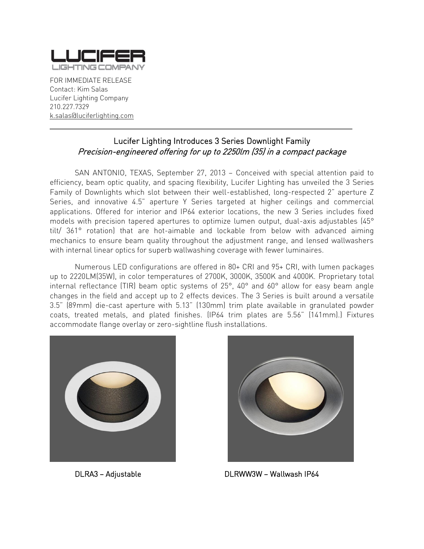

FOR IMMEDIATE RELEASE Contact: Kim Salas Lucifer Lighting Company 210.227.7329 [k.salas@luciferlighting.com](mailto:k.salas@luciferlighting.com)

## Lucifer Lighting Introduces 3 Series Downlight Family Precision-engineered offering for up to 2250lm (35) in a compact package

\_\_\_\_\_\_\_\_\_\_\_\_\_\_\_\_\_\_\_\_\_\_\_\_\_\_\_\_\_\_\_\_\_\_\_\_\_\_\_\_\_\_\_\_\_\_\_\_\_\_\_\_\_\_\_\_\_\_\_\_\_\_\_\_\_\_\_\_\_\_\_\_\_\_\_\_\_\_\_\_\_\_\_\_\_

SAN ANTONIO, TEXAS, September 27, 2013 – Conceived with special attention paid to efficiency, beam optic quality, and spacing flexibility, Lucifer Lighting has unveiled the 3 Series Family of Downlights which slot between their well-established, long-respected 2" aperture Z Series, and innovative 4.5" aperture Y Series targeted at higher ceilings and commercial applications. Offered for interior and IP64 exterior locations, the new 3 Series includes fixed models with precision tapered apertures to optimize lumen output, dual-axis adjustables (45° tilt/ 361° rotation) that are hot-aimable and lockable from below with advanced aiming mechanics to ensure beam quality throughout the adjustment range, and lensed wallwashers with internal linear optics for superb wallwashing coverage with fewer luminaires.

Numerous LED configurations are offered in 80+ CRI and 95+ CRI, with lumen packages up to 2220LM(35W), in color temperatures of 2700K, 3000K, 3500K and 4000K. Proprietary total internal reflectance (TIR) beam optic systems of 25°, 40° and 60° allow for easy beam angle changes in the field and accept up to 2 effects devices. The 3 Series is built around a versatile 3.5" (89mm) die-cast aperture with 5.13" (130mm) trim plate available in granulated powder coats, treated metals, and plated finishes. (IP64 trim plates are 5.56" (141mm).) Fixtures accommodate flange overlay or zero-sightline flush installations.





DLRA3 – Adjustable DLRWW3W – Wallwash IP64